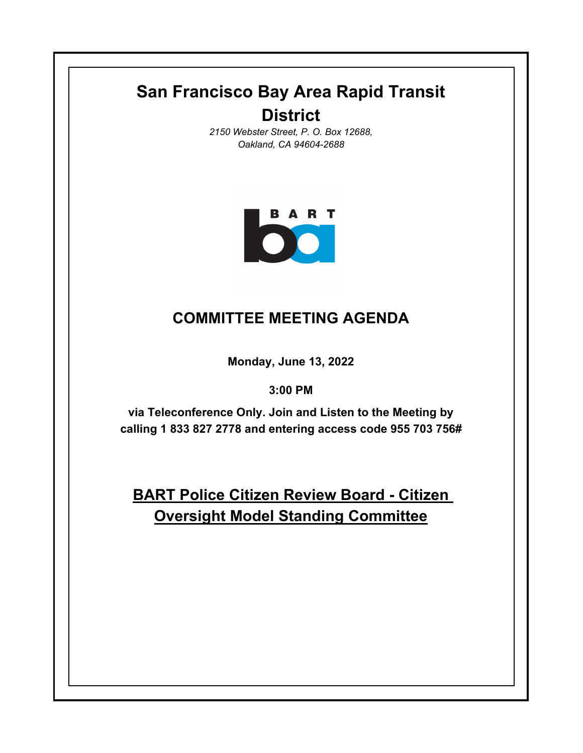# **San Francisco Bay Area Rapid Transit District**

*2150 Webster Street, P. O. Box 12688, Oakland, CA 94604-2688*



# **COMMITTEE MEETING AGENDA**

**Monday, June 13, 2022**

**3:00 PM**

**via Teleconference Only. Join and Listen to the Meeting by calling 1 833 827 2778 and entering access code 955 703 756#**

**BART Police Citizen Review Board - Citizen Oversight Model Standing Committee**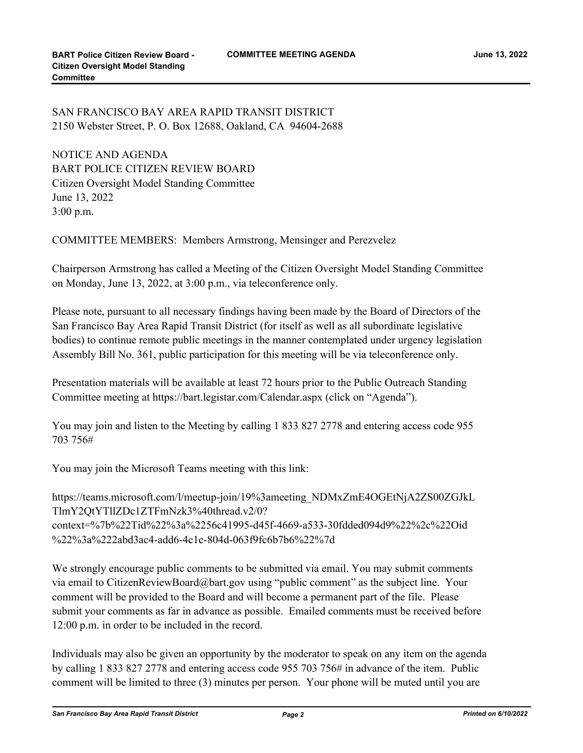## SAN FRANCISCO BAY AREA RAPID TRANSIT DISTRICT 2150 Webster Street, P. O. Box 12688, Oakland, CA 94604-2688

NOTICE AND AGENDA BART POLICE CITIZEN REVIEW BOARD Citizen Oversight Model Standing Committee June 13, 2022 3:00 p.m.

COMMITTEE MEMBERS: Members Armstrong, Mensinger and Perezvelez

Chairperson Armstrong has called a Meeting of the Citizen Oversight Model Standing Committee on Monday, June 13, 2022, at 3:00 p.m., via teleconference only.

Please note, pursuant to all necessary findings having been made by the Board of Directors of the San Francisco Bay Area Rapid Transit District (for itself as well as all subordinate legislative bodies) to continue remote public meetings in the manner contemplated under urgency legislation Assembly Bill No. 361, public participation for this meeting will be via teleconference only.

Presentation materials will be available at least 72 hours prior to the Public Outreach Standing Committee meeting at https://bart.legistar.com/Calendar.aspx (click on "Agenda").

You may join and listen to the Meeting by calling 1 833 827 2778 and entering access code 955 703 756#

You may join the Microsoft Teams meeting with this link:

https://teams.microsoft.com/l/meetup-join/19%3ameeting\_NDMxZmE4OGEtNjA2ZS00ZGJkL TlmY2QtYTllZDc1ZTFmNzk3%40thread.v2/0? context=%7b%22Tid%22%3a%2256c41995-d45f-4669-a533-30fdded094d9%22%2c%22Oid %22%3a%222abd3ac4-add6-4c1c-804d-063f9fc6b7b6%22%7d

We strongly encourage public comments to be submitted via email. You may submit comments via email to CitizenReviewBoard@bart.gov using "public comment" as the subject line. Your comment will be provided to the Board and will become a permanent part of the file. Please submit your comments as far in advance as possible. Emailed comments must be received before 12:00 p.m. in order to be included in the record.

Individuals may also be given an opportunity by the moderator to speak on any item on the agenda by calling 1 833 827 2778 and entering access code 955 703 756# in advance of the item. Public comment will be limited to three (3) minutes per person. Your phone will be muted until you are